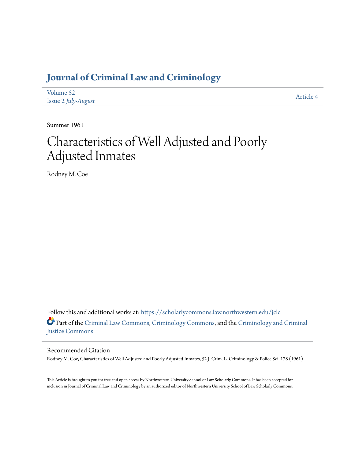## **[Journal of Criminal Law and Criminology](https://scholarlycommons.law.northwestern.edu/jclc?utm_source=scholarlycommons.law.northwestern.edu%2Fjclc%2Fvol52%2Fiss2%2F4&utm_medium=PDF&utm_campaign=PDFCoverPages)**

| Volume 52                  | Article 4 |
|----------------------------|-----------|
| <b>Issue 2 July-August</b> |           |

Summer 1961

# Characteristics of Well Adjusted and Poorly Adjusted Inmates

Rodney M. Coe

Follow this and additional works at: [https://scholarlycommons.law.northwestern.edu/jclc](https://scholarlycommons.law.northwestern.edu/jclc?utm_source=scholarlycommons.law.northwestern.edu%2Fjclc%2Fvol52%2Fiss2%2F4&utm_medium=PDF&utm_campaign=PDFCoverPages) Part of the [Criminal Law Commons](http://network.bepress.com/hgg/discipline/912?utm_source=scholarlycommons.law.northwestern.edu%2Fjclc%2Fvol52%2Fiss2%2F4&utm_medium=PDF&utm_campaign=PDFCoverPages), [Criminology Commons](http://network.bepress.com/hgg/discipline/417?utm_source=scholarlycommons.law.northwestern.edu%2Fjclc%2Fvol52%2Fiss2%2F4&utm_medium=PDF&utm_campaign=PDFCoverPages), and the [Criminology and Criminal](http://network.bepress.com/hgg/discipline/367?utm_source=scholarlycommons.law.northwestern.edu%2Fjclc%2Fvol52%2Fiss2%2F4&utm_medium=PDF&utm_campaign=PDFCoverPages) [Justice Commons](http://network.bepress.com/hgg/discipline/367?utm_source=scholarlycommons.law.northwestern.edu%2Fjclc%2Fvol52%2Fiss2%2F4&utm_medium=PDF&utm_campaign=PDFCoverPages)

### Recommended Citation

Rodney M. Coe, Characteristics of Well Adjusted and Poorly Adjusted Inmates, 52 J. Crim. L. Criminology & Police Sci. 178 (1961)

This Article is brought to you for free and open access by Northwestern University School of Law Scholarly Commons. It has been accepted for inclusion in Journal of Criminal Law and Criminology by an authorized editor of Northwestern University School of Law Scholarly Commons.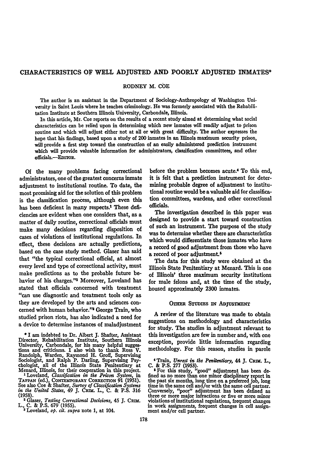#### CHARACTERISTICS **OF** WELL ADJUSTED **AND** POORLY **ADJUSTED** INMATES\*

RODNEY M. **COE**

The author is an assistant in the Department of Sociology-Anthropology of Washington University in Saint Louis where he teaches criminology. He was formerly associated with the Rehabilitation Institute at Southern Illinois University, Carbondale, Illinois.

In this article, Mr. Coe reports on the results of a recent study aimed at determining what social characteristics can be relied upon in determining which new inmates will readily adjust to prison routine and which will adjust either not at all or with great difficulty. The author expresses the hope that his findings, based upon a study of 200 inmates in an Illinois maximum security prison, will provide a first step toward the construction of an easily administered prediction instrument which will provide valuable information for administrators, classification committees, and other officials.-EDITOR.

**Of** the many problems facing correctional administrators, one of the greatest concerns inmate adjustment to institutional routine. To date, the most promising aid for the solution of this problem is the classification process, although even this has been deficient in many respects.<sup>1</sup> These deficiencies are evident when one considers that, as a matter of daily routine, correctional officials must make many decisions regarding disposition of cases of violations of institutional regulations. In effect, these decisions are actually predictions, based on the case study method. Glaser has said that "the typical correctional official, at almost every level and type of correctional activity, must make predictions as to the probable future behavior of his charges."2 Moreover, Loveland has stated that officials concerned with treatment "can use diagnostic and treatment tools only as they are developed **by** the arts and sciences concerned with human behavior."<sup>3</sup> George Train, who studied prison riots, has also indicated a need for a device to determine instances of maladjustment

**\* I** am indebted to Dr. Albert **J.** Shafter, Assistant Director, Rehabilitation Institute, Southern Illinois University, Carbondale, for his many helpful sugges- tions and criticisms. I also wish to thank Ross V. Randolph, Warden, Raymond H. Groff, **Supervising** Sociologist, and Ralph P. Darling, Supervising Psy- chologist, all of the Illinois State Penitentiary at Menard, Illinois, for their cooperation in this project. **<sup>I</sup>**Loveland, **Classifwation** in the *Prison* System, *in* <sup>1</sup> Loveland, *Classification in the Prison System*, in TAPPAN (ed.), CONTEMPORARY CORRECTION 91 (1951).

See also Coe **&** Shafter, Survey *of Classi fication Systems in the United States,* 49 **J.** Cmi. L., **C. & P.S. 316 (1958).** <sup>2</sup> Glaser, *Testing Correctional Decisions,* 45 **J.** Can.

L., **C.** & **P.S.** 679 **(1955).** 3Loveland, *op. cit. supra* note **1,** at 104.

before the problem becomes acute.4 To this end, it is felt that a prediction instrument for determining probable degree of adjustment to institutional routine would be a valuable aid for classification committees, wardens, and other correctional officials.

The investigation described in this paper was designed to provide a start toward construction of such an instrument. The purpose of the study was to determine whether there are characteristics which would differentiate those inmates who have **a** record of good adjustment from those who have **a** record of poor adjustment.'

The data for this study were obtained at the Illinois State Penitentiary at Menard. This is one of **Illinois'** three maximum security institutions for male felons and, at the time of the study, housed approximately **2300** inmates.

#### **OTHER STUDIES IN ADJUSTMENT**

**A** review of the literature was made to obtain suggestions on methodology and characteristics for study. The studies in adjustment relevant to this investigation are few in number and, with one exception, provide little information regarding methodology. For this reason, studies in parole

 $4$  Train, Unrest in the Penitentiary, 44 J. CRIM. L.,

**C. & P.S. 277 (1953). 5** For this study, "good" adjustment has been de-fined as no more than one minor disciplinary report in the past **six** months, long time on a preferred **job,** long time in the same cell and/or with the same cell partner. Conversely, "poor" adjustment has been defined as three or more major infractions or five or more minor violations of institutional regulations, frequent changes in work assignments, frequent changes in cell assignment and/or cell partner.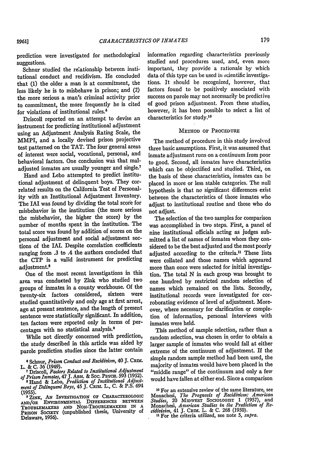prediction were investigated for methodological suggestions.

Schnur studied the relationship between institutional conduct and recidivism. He concluded that **(1)** the older a man is at commitment, the less likely he is to misbehave in prison; and (2) the more serious a man's criminal activity prior to commitment, the more frequently he is cited for violations of institutional rules.<sup>6</sup>

Driscoll reported on an attempt to devise an instrument for predicting institutional adjustment using an Adjustment Analysis Rating Scale, the MMPI, and a locally devised prison projective test patterned on the TAT. The four general areas of interest were social, vocational, personal, and behavioral factors. One conclusion was that maladjusted inmates are usually younger and single.7

Hand and Lebo attempted to predict institutional adjustment of delinquent boys. They correlated results on the California Test of Personality with an Institutional Adjustment Inventory. The IAI was found by dividing the total score for misbehavior in the institution (the more serious the misbehavior, the higher the score) by the number of months spent in the institution. The total score was found by addition of scores on the personal adjustment and social adjustment sections of the **IAI.** Despite correlation coefficients ranging from .3 to .4 the authors concluded that the CTP is a valid instrument for predicting adjustment.<sup>8</sup>

One of the most recent investigations in this area was conducted by Zink who studied two groups of inmates in a county workhouse. **Of** the twenty-six factors considered, sixteen were studied quantitatively and only age at first arrest, age at present sentence, and the length of present sentence were statistically significant. In addition, ten factors were reported only in terms of percentages with no statistical analysis. <sup>9</sup>

While not directly concerned with prediction, the study described in this article was aided by parole prediction studies since the latter contain

L. **& C. 36 (1949). <sup>7</sup>**Driscoll, *Factors Related to Institutional Adjustment*

of Prison Inmales, 47 J. ABN. & Soc. PSYCH. 593 (1952).<br><sup>8</sup> Hand & Lebo, *Prediction of Institutional Adjustment of Delinquent Boys*, 45 J. CRIM. L., C. & P.S. 694

information regarding characteristics previously studied and procedures used, and, even more important, they provide a rationale by which data of this type can be used in scientific investigations. It should be recognized, however, that factors found to be positively associated with success on parole may not necessarily be predictive of good prison adjustment. From these studies, however, it has been possible to select a list of characteristics for study.10

#### METHOD OF PROCEDURE

The method of procedure in this study involved three basic assumptions. First, it was assumed that inmate adjustment runs on a continuum from poor to good. Second, all inmates have characteristics which can be objectified and studied. Third, on the basis of these characteristics, inmates can be placed in more or less stable categories. The null hypothesis is that no significant differences exist between the characteristics of those inmates who adjust to institutional routine and those who do not adjust.

The selection of the two samples for comparison was accomplished in two steps. First, a panel of nine institutional officials acting as judges submitted a list of names of inmates whom they considered to be the best adjusted and the most poorly adjusted according to the criteria.<sup>11</sup> These lists were collated and those names which appeared more than once were selected for initial investigation. The total N in each group was brought to one hundred by restricted random selection of names which remained on the lists. Secondly, institutional records were investigated for corroborating evidence of level of adjustment. Moreover, where necessary for clarification or completion of information, personal interviews with inmates were held.

This method of sample selection, rather than a random selection, was chosen in order to obtain a larger sample of inmates who would fall at either extreme of the continuum of adjustment. If the simple random sample method had been used, the majority of inmates would have been placed in the "middle range" of the continuum and only a few would have fallen at either end. Since a comparison

<sup>\*</sup> Schnur, *Prison Conduct and Reddivism, 40* J. *CRnI.*

**<sup>(1955).</sup>** *9* **ZINK, AN** INVESTIGATION OF CHARACTEROLOGIC **AND/OR** ENVIRONMENTAL **DIFFERENCES BETWEEN** TROUBLE &KERS **AND** NoN-TRouBLEmAKERS IN **A** PRISON **SoCIETY** (unpublished thesis, University of Delaware, **1956).**

**<sup>10</sup>**For an extensive review of the same literature, see Monachesi, *The Prognosis of Recidivism: American Studies,* 20 MIDWEST **SOCIOLOGIST** 1 (1957), and Monachesi, *American Studies in the Prediction of Recidivisim,* 41 **J.** CRnr. L. & **C.** 268 **(1950).**

<sup>&</sup>lt;sup>11</sup> For the criteria utilized, see note 5, supra.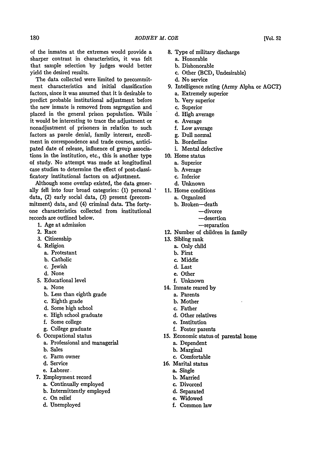of the inmates at the extremes would provide a sharper contrast in characteristics, it was felt that sample selection by judges would better yield the desired results.

The data collected were limited to precommitment characteristics and initial classification factors, since it was assumed that it is desirable to predict probable institutional adjustment before the new inmate is removed from segregation and placed in the general prison population. While it would be interesting to trace the adjustment or nonadjustment of prisoners in relation to such factors as parole denial, family interest, enrollment in correspondence and trade courses, anticipated date of release, influence of group associations in the institution, etc., this is another type of study. No attempt was made at longitudinal case studies to determine the effect of post-classificatory institutional factors on adjustment.

Although some overlap existed, the data generally fell into four broad categories: (1) personal data, (2) early social data, (3) present (precommitment) data, and (4) criminal data. The fortyone characteristics collected from institutional records are outlined below.

- 1. Age at admission
- 2. Race
- 3. Citizenship
- 4. Religion
	- a. Protestant
	- b. Catholic
	- c. Jewish
	- d. None
- **5.** Educational level
	- a. None
	- b. Less than eighth grade
	- c. Eighth grade
	- d. Some high school
	- e. High school graduate
	- **f.** Some college
	- g. College graduate
- 6. Occupational status
	- a. Professional and managerial
	- b. Sales
	- c. Farm owner
	- d. Service
	- e. Laborer
- 7. Employment record
	- a. Continually employed
	- b. Intermittently employed
	- c. On relief
	- d. Unemployed
- **8.** Type of military discharge
	- a. Honorable
	- b. Dishonorable
	- c. Other (BCD, Undesirable)
	- d. No service
- **9.** Intelligence rating (Army Alpha or AGCT) a. Extremely superior
	- **b.** Very superior
	- **c.** Superior
	- d. High average
	- e. Average
	- **f.** Low average
	- **g.** Dull normal
	- h. Borderline
	- i. Mental defective
- 10. Home status
	- a. Superior
	- b. Average
	- c. Inferior
	- **d.** Unknown
- **11.** Home conditions
	- a. Organized
	- b. Broken-death
		- -divorce
		- -desertion
		- -separation
- 12. Number of children in family
- **13.** Sibling rank
	- a. Only child
		- **b.** First
		- c. Middle
		- d. Last
		- e. Other
	- **f.** Unknown
- 14. Inmate reared **by**
	- a. Parents
	- b. Mother
	- c. Father
	- d. Other relatives
	- e. Institution
	- f. Foster parents
- **15.** Economic status of parental home
	- a. Dependent
	- b. Marginal
	- c. Comfortable
- **16.** Marital status
	- a. Single
	- **b.** Married
	- c. Divorced
	- **d.** Separated
	- e. Widowed
	- **f.** Common law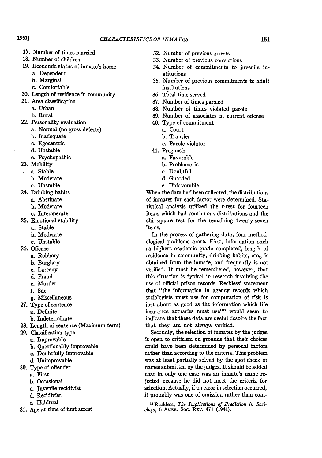- **17.** Number of times married
- **18.** Number of children
- **19.** Economic status of inmate's home
	- a. Dependent
	- b. Marginal
	- c. Comfortable
- 20. Length of residence in community
- 21. Area classification
	- a. Urban
	- **b.** Rural
- 22. Personality evaluation
	- a. Normal (no gross defects)
	- **b.** Inadequate
	- c. Egocentric
	- **d.** Unstable
	- e. Psychopathic
- **23.** Mobility
	- a. Stable
	- **b.** Moderate
	- c. Unstable
- 24. Drinking habits
	- a. Abstinate
	- b. Moderate
	- c. Intemperate
- **25.** Emotional stability
	- a. Stable
	- **b.** Moderate
	- c. Unstable
- **26.** Offense
	- a. Robbery
	- **b.** Burglary
	- c. Larceny
	- d. Fraud
	- e. Murder
	- **f.** Sex
- **g.** Miscellaneous
- **27.** Type of sentence
	- a. Definite
	- **b.** Indeterminate
- **28.** Length of sentence (Maximum term)
- 29. Classification type
	- **a.** Improvable
	- **b.** Questionably improvable
	- c. Doubtfully improvable
	- d. Unimprovable
- 30. Type of offender
	- a. First
	- **b.** Occasional
	- c. Juvenile recidivist
	- d. Recidivist
	- e. Habitual
- **31.** Age at time of first arrest
- **32.** Number of previous arrests
- **33.** Number of previous convictions
- 34. Number of commitments to juvenile institutions
- **35.** Number of previous commitments to adult institutions
- 36. Total time served
- **37.** Number of times paroled
- **38.** Number of times violated parole
- 39. Number of associates in current offense
- 40. Type of commitment
	- a. Court
		- **b.** Transfer
	- c. Parole violator
- 41. Prognosis
	- a. Favorable
	- **b.** Problematic
	- c. Doubtful
	- **d.** Guarded
	- e. Unfavorable

When the data had been collected, the distributions of inmates for each factor were determined. Statistical analysis utilized the t-test for fourteen items which **had** continuous distributions and the **chi** square test for the remaining twenty-seven items.

In the process of gathering data, four methodological problems arose. First, information such as highest academic grade completed, length of residence in community, drinking habits, etc., is obtained from the inmate, and frequently is not verified. It must be remembered, however, that this situation is typical in research involving the use of official prison records. Reckless' statement that "the information in agency records which sociologists must use for computation of risk is just about as good as the information which life insurance actuaries must use"'2 would seem to indicate that these data are useful despite the fact that they are not always verified.

Secondly, the selection of inmates by the judges is open to criticism on grounds that their choices could have been determined by personal factors rather than according to the criteria. This problem was at least partially solved by the spot check of names submitted by the judges. It should be added that in only one case was an inmate's name rejected because he did not meet the criteria for selection. Actually, if an error in selection occurred, it probably was one of omission rather than com-

<sup>2</sup> Reckless, *The Implications of Prediction in Sociology*, 6 AMER. Soc. REV. 471 (1941).

**19611**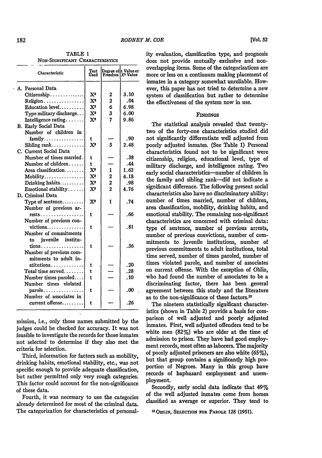TABLE 1 **NON-SIGNIFICANT CHARACTERISTICS** 

| Characteristic                       | Test<br><b>Used</b> |                          | Degree of t Value or<br>Freedom X <sup>2</sup> Value |
|--------------------------------------|---------------------|--------------------------|------------------------------------------------------|
| A. Personal Data                     |                     |                          |                                                      |
| Citizenship                          | $X^2$               | 2                        | 3.10                                                 |
| Religion                             | $X^2$               | $\overline{2}$           | .04                                                  |
| Education level                      | X <sup>2</sup>      | 6                        | 6.98                                                 |
| Type military discharge              | X <sup>2</sup>      | 3                        | 6.00                                                 |
| Intelligence rating                  | $X^2$               | 7                        | 9.86                                                 |
| B. Early Social Data                 |                     |                          |                                                      |
| Number of children in                |                     |                          |                                                      |
| family                               | t                   |                          | .90                                                  |
| Sibling rank                         | $X^2$               | 5                        | 2.48                                                 |
| C. Current Social Data               |                     |                          |                                                      |
| Number of times married.             | t                   |                          | .38                                                  |
| Number of children                   | t                   |                          | .44                                                  |
| Area classification                  | X <sup>2</sup>      | $\mathbf{1}$             | 1.62                                                 |
| Mobility                             | $\mathbf{X}^2$      | 2                        | 4.18                                                 |
| Drinking habits                      | X2                  | $\overline{2}$           | .98                                                  |
| Emotional stability                  | X <sup>2</sup>      | $\overline{2}$           | 4.76                                                 |
| D. Criminal Data                     |                     |                          |                                                      |
| Type of sentence                     | $X^2$               | 1                        | .74                                                  |
| Number of previous ar-               |                     |                          |                                                      |
| rests.                               | t                   |                          | .66                                                  |
| Number of previous con-              |                     |                          |                                                      |
| victions.                            | t                   |                          | .81                                                  |
| Number of commitments                |                     |                          |                                                      |
| to juvenile institu-                 |                     |                          |                                                      |
| $tions. \ldots \ldots \ldots \ldots$ | t                   |                          | .36                                                  |
| Number of previous com-              |                     |                          |                                                      |
| mitments to adult in-                |                     |                          |                                                      |
| stitutions                           | t                   |                          | .20                                                  |
| Total time served                    | t                   | J.                       | .28                                                  |
| Number times paroled                 | t                   | $\overline{\phantom{a}}$ | . 10                                                 |
| Number times violated                |                     |                          |                                                      |
| parole                               | t                   |                          | .00                                                  |
| Number of associates in              |                     |                          |                                                      |
| current offense                      | t                   |                          | .26                                                  |
|                                      |                     |                          |                                                      |

mission, i.e., only those names submitted **by** the judges could be checked for accuracy. It was not feasible to investigate the records for those inmates not selected to determine if they also met the criteria for selection.

Third, information for factors such as mobility, drinking habits, emotional stability, etc., was not specific enough to provide adequate classification, but rather permitted only very rough categories. This factor could account for the non-significance of these data.

Fourth, it was necessary to use the categories already determined for most of the criminal data. The categorization for characteristics of personality evaluation, classification type, and prognosis does not provide mutually exclusive and nonoverlapping items. Some of the categorizations are more or less on a continuum making placement of inmates in a category somewhat unreliable. However, this paper has not tried to determine a new system of classification but rather to determine the effectiveness of the system now in use.

#### **FINDINGS**

The statistical analysis revealed that twentytwo of the forty-one characteristics studied did not significantly differentiate well adjusted from poorly adjusted inmates. (See Table **1)** Personal characteristics found not to be significant were citizenship, religion, educational level, type of military discharge, and intelligence rating. Two early social characteristics-number of children in the family and sibling rank-did not indicate a significant difference. The following present social characteristics also have no discriminatory ability: number of times married, number of children, area classification, mobility, drinking habits, and emotional stability. The remaining non-significant characteristics are concerned with criminal data: type of sentence, number of previous arrests, number of previous convictions, number of commitments to juvenile institutions, number of previous commitments to adult institutions, total time served, number of times paroled, number of times violated parole, and number of associates on current offense. With the exception of Ohlin, who had found the number of associates to be a discriminating factor, there has been general agreement between this study and the literature as to the non-significance of these factors.<sup>13</sup>

The nineteen statistically significant characteristics (shown in Table 2) provide a basis for comparison of well adjusted and poorly adjusted inmates. First, well adjusted offenders tend to be white men (82%) who are older at the time of admission to prison. They have had good employment records, most often as laborers. The majority of poorly adjusted prisoners are also white (65%), but that group contains a significantly high proportion of Negroes. Many in this group have records of haphazard employment and unemployment.

Secondly, early social data indicate that 49% of the well adjusted inmates come from homes classified as average or superior. They tend to

<sup>13</sup> OHLIN, SELECTION FOR PAROLE 128 (1951).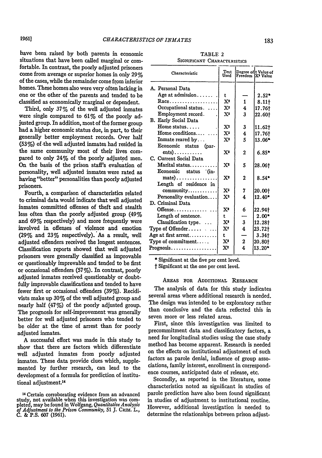have been raised by both parents in economic situations that have been called marginal or comfortable. In contrast, the poorly adjusted prisoners come from average or superior homes in only 29% of the cases, while the remainder come from inferior homes. These homes also were very often lacking in one or the other of the parents and tended to be classified as economically marginal or dependent.

Third, only 37% of the well adjusted inmates were single compared to **61%** of the poorly adjusted group. In addition, most of the former group had a higher economic status due, in part, to their generally better employment records. Over half  $(53\%)$  of the well adjusted inmates had resided in the same community most of their lives compared to only 24% of the poorly adjusted men. On the basis of the prison staff's evaluation of personality, well adjusted inmates were rated as having "better" personalities than poorly adjusted prisoners.

Fourth, a comparison of characteristics related to criminal data would indicate that well adjusted inmates committed offenses of theft and stealth less often than the poorly adjusted group (49% and **69%** respectively) and more frequently were involved in offenses of violence and emotion (29% and 23% respectively). As a result, well adjusted offenders received the longest sentences. Classification reports showed that well adjusted prisoners were generally classified as improvable or questionably improvable and tended to be first or occasional offenders (57%). In contrast, poorly adjusted inmates received questionably or doubtfully improvable classifications and tended to have fewer first or occasional offenders (39%). Recidivists make up **30%** of the well adjusted group and nearly half (47%) of the poorly adjusted group. The prognosis for self-improvement was generally better for well adjusted prisoners who tended to be older at the time of arrest than for poorly adjusted inmates.

A successful effort was made in this study to show that there are factors which differentiate well adjusted inmates from poorly adjusted inmates. These data provide clues which, supplemented by further research, can lead to the development of a formula for prediction of institutional adjustment.<sup>14</sup>

|                                                | -----------    |                |                                                      |
|------------------------------------------------|----------------|----------------|------------------------------------------------------|
| Characteristic                                 | Test<br>Used   |                | Degree of t Value of<br>Freedom X <sup>2</sup> Value |
| A. Personal Data                               |                |                |                                                      |
| Age at admission                               | t              |                | $2.52*$                                              |
|                                                | $X^2$          | $\mathbf{1}$   | $8.11+$                                              |
| Occupational status.                           | X <sup>2</sup> | 4              | 17.76†                                               |
| Employment record.                             | X <sup>2</sup> | 3              | 22.60†                                               |
| B. Early Social Data                           |                |                |                                                      |
| Home status                                    | X <sup>2</sup> | 3              | $11.62\dagger$                                       |
| Home conditions                                | X <sup>2</sup> | 4              | 17.76†                                               |
| Inmate reared by                               | $X^2$          | 5              | 13.06*                                               |
| Economic status (par-                          |                |                |                                                      |
| $ents) \ldots \ldots \ldots$                   | X <sup>2</sup> | $\overline{2}$ | $6.85*$                                              |
| C. Current Social Data                         |                |                |                                                      |
| Marital status                                 | $X^2$          | 5              | 28.06†                                               |
| Economic status (in-                           |                |                |                                                      |
| $mate) \ldots \ldots \ldots \ldots$            | X?             | $\overline{2}$ | $8.54*$                                              |
| Length of residence in                         |                |                |                                                      |
| $commuity$                                     | X <sup>2</sup> | 7              | 20.00†                                               |
| Personality evaluation                         | X <sup>2</sup> | 4              | $12.40*$                                             |
| D. Criminal Data                               |                |                |                                                      |
| $Office.$                                      | $X^2$          | 6              | 22.94†                                               |
| Length of sentence.                            | t.             |                | $2.00*$                                              |
| Classification type.                           | $X^2$          | 3              | 12.28†                                               |
| Type of Offender                               | X <sup>2</sup> | 4              | 23.72†                                               |
| Age at first arrest                            | t.             |                | 3.34 <sub>†</sub>                                    |
| Type of commitment                             | $X^2$          | $\mathbf{z}$   | 20.80†                                               |
| $Prognosis \ldots \ldots \ldots \ldots \ldots$ | X <sup>2</sup> | 4              | $13.20*$                                             |
|                                                |                |                |                                                      |

**TABLE** 2 SIGNIFICANT CHARACTERISTICS

**\*** Significant at the five per cent level.

t Significant at the one per cent level.

#### **AREAS FOR ADDITIONAL RESEARCH**

The analysis of data for this study indicates several areas where additional research is needed. The design was intended to be exploratory rather than conclusive and the data reflected this in seven more or less related areas.

First, since this investigation was limited to precommitment data and classificatory factors, a need for longitudinal studies using the case study method has become apparent. Research is needed on the effects on institutional adjustment of such factors as parole denial, influence of group associations, family interest, enrollment in correspondence courses, anticipated date of release, etc.

Secondly, as reported in the literature, some characteristics noted as significant in studies of parole prediction have also been found significant in studies of adjustment to institutional routine. However, additional investigation is needed to determine the relationships between prison adjust-

**<sup>14</sup>** Certain corroborating evidence from an advanced study, not available when this investigation was completed, may be found in Wolfgang, *Quantitative Analysis of Adjustment to the Prison Community*, **51 J. CELM. L., C. & P.S. 607 (1961).**